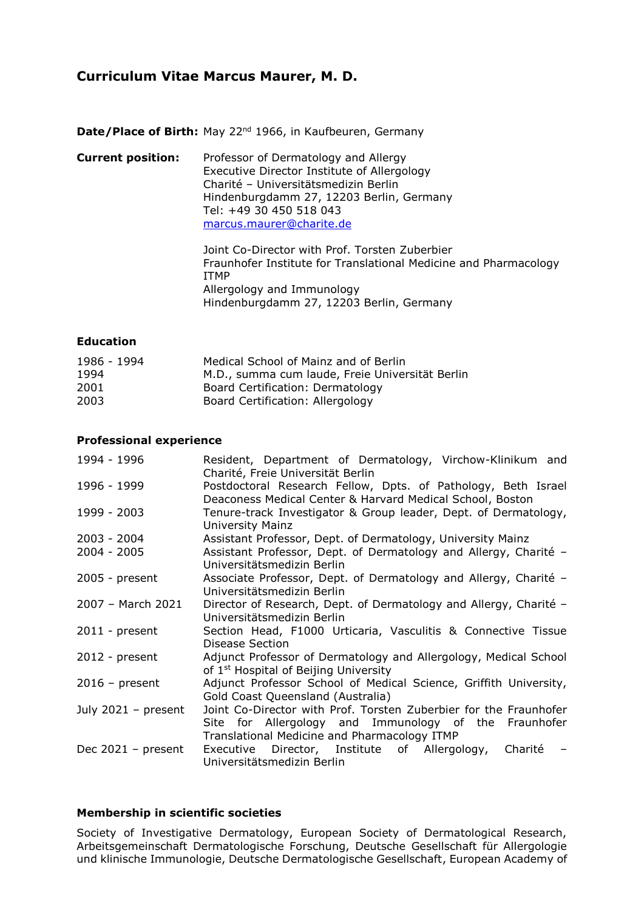# **Curriculum Vitae Marcus Maurer, M. D.**

**Date/Place of Birth:** May 22<sup>nd</sup> 1966, in Kaufbeuren, Germany

**Current position:** Professor of Dermatology and Allergy Executive Director Institute of Allergology Charité – Universitätsmedizin Berlin Hindenburgdamm 27, 12203 Berlin, Germany Tel: +49 30 450 518 043 [marcus.maurer@charite.de](mailto:marcus.maurer@charite.de) Joint Co-Director with Prof. Torsten Zuberbier Fraunhofer Institute for Translational Medicine and Pharmacology ITMP Allergology and Immunology Hindenburgdamm 27, 12203 Berlin, Germany

### **Education**

| 1986 - 1994 | Medical School of Mainz and of Berlin           |
|-------------|-------------------------------------------------|
| 1994        | M.D., summa cum laude, Freie Universität Berlin |
| 2001        | Board Certification: Dermatology                |
| 2003        | Board Certification: Allergology                |

#### **Professional experience**

| 1994 - 1996           | Resident, Department of Dermatology, Virchow-Klinikum and<br>Charité, Freie Universität Berlin                                                   |
|-----------------------|--------------------------------------------------------------------------------------------------------------------------------------------------|
| 1996 - 1999           | Postdoctoral Research Fellow, Dpts. of Pathology, Beth Israel                                                                                    |
| 1999 - 2003           | Deaconess Medical Center & Harvard Medical School, Boston<br>Tenure-track Investigator & Group leader, Dept. of Dermatology,<br>University Mainz |
| 2003 - 2004           | Assistant Professor, Dept. of Dermatology, University Mainz                                                                                      |
| $2004 - 2005$         | Assistant Professor, Dept. of Dermatology and Allergy, Charité -<br>Universitätsmedizin Berlin                                                   |
| $2005$ - present      | Associate Professor, Dept. of Dermatology and Allergy, Charité -<br>Universitätsmedizin Berlin                                                   |
| 2007 - March 2021     | Director of Research, Dept. of Dermatology and Allergy, Charité -<br>Universitätsmedizin Berlin                                                  |
| $2011$ - present      | Section Head, F1000 Urticaria, Vasculitis & Connective Tissue<br>Disease Section                                                                 |
| $2012$ - present      | Adjunct Professor of Dermatology and Allergology, Medical School<br>of 1 <sup>st</sup> Hospital of Beijing University                            |
| $2016$ – present      | Adjunct Professor School of Medical Science, Griffith University,<br>Gold Coast Queensland (Australia)                                           |
| July $2021 - present$ | Joint Co-Director with Prof. Torsten Zuberbier for the Fraunhofer<br>Site for Allergology and Immunology of the Fraunhofer                       |
| Dec $2021 - present$  | Translational Medicine and Pharmacology ITMP<br>Executive Director, Institute of Allergology,<br>Charité<br>Universitätsmedizin Berlin           |

#### **Membership in scientific societies**

Society of Investigative Dermatology, European Society of Dermatological Research, Arbeitsgemeinschaft Dermatologische Forschung, Deutsche Gesellschaft für Allergologie und klinische Immunologie, Deutsche Dermatologische Gesellschaft, European Academy of